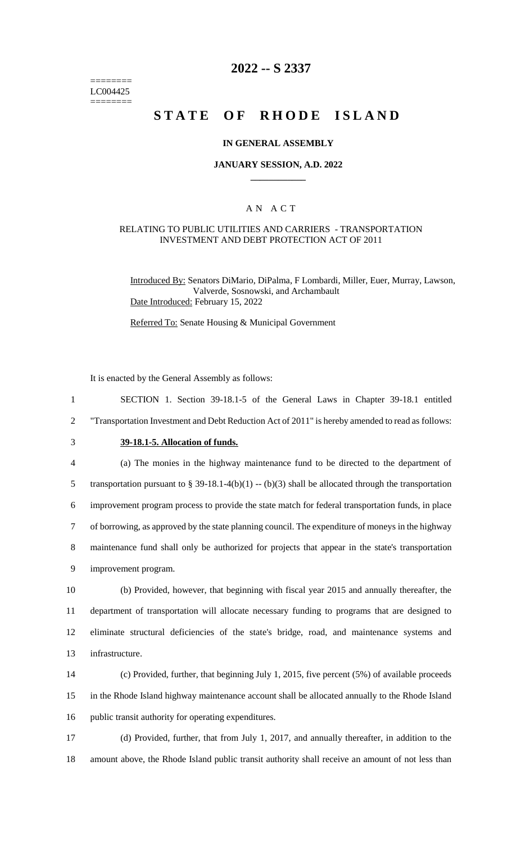======== LC004425 ========

## **2022 -- S 2337**

# **STATE OF RHODE ISLAND**

#### **IN GENERAL ASSEMBLY**

#### **JANUARY SESSION, A.D. 2022 \_\_\_\_\_\_\_\_\_\_\_\_**

### A N A C T

#### RELATING TO PUBLIC UTILITIES AND CARRIERS - TRANSPORTATION INVESTMENT AND DEBT PROTECTION ACT OF 2011

Introduced By: Senators DiMario, DiPalma, F Lombardi, Miller, Euer, Murray, Lawson, Valverde, Sosnowski, and Archambault Date Introduced: February 15, 2022

Referred To: Senate Housing & Municipal Government

It is enacted by the General Assembly as follows:

 SECTION 1. Section 39-18.1-5 of the General Laws in Chapter 39-18.1 entitled "Transportation Investment and Debt Reduction Act of 2011" is hereby amended to read as follows: **39-18.1-5. Allocation of funds.** (a) The monies in the highway maintenance fund to be directed to the department of 5 transportation pursuant to § 39-18.1-4(b)(1) -- (b)(3) shall be allocated through the transportation improvement program process to provide the state match for federal transportation funds, in place of borrowing, as approved by the state planning council. The expenditure of moneys in the highway maintenance fund shall only be authorized for projects that appear in the state's transportation improvement program. (b) Provided, however, that beginning with fiscal year 2015 and annually thereafter, the department of transportation will allocate necessary funding to programs that are designed to eliminate structural deficiencies of the state's bridge, road, and maintenance systems and infrastructure. (c) Provided, further, that beginning July 1, 2015, five percent (5%) of available proceeds in the Rhode Island highway maintenance account shall be allocated annually to the Rhode Island public transit authority for operating expenditures.

17 (d) Provided, further, that from July 1, 2017, and annually thereafter, in addition to the 18 amount above, the Rhode Island public transit authority shall receive an amount of not less than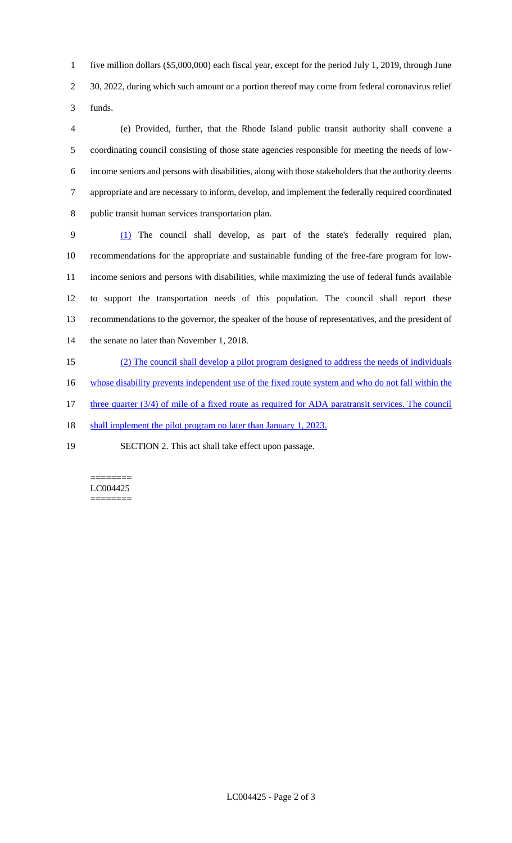five million dollars (\$5,000,000) each fiscal year, except for the period July 1, 2019, through June 2 30, 2022, during which such amount or a portion thereof may come from federal coronavirus relief funds.

 (e) Provided, further, that the Rhode Island public transit authority shall convene a coordinating council consisting of those state agencies responsible for meeting the needs of low- income seniors and persons with disabilities, along with those stakeholders that the authority deems appropriate and are necessary to inform, develop, and implement the federally required coordinated public transit human services transportation plan.

 (1) The council shall develop, as part of the state's federally required plan, recommendations for the appropriate and sustainable funding of the free-fare program for low- income seniors and persons with disabilities, while maximizing the use of federal funds available to support the transportation needs of this population. The council shall report these recommendations to the governor, the speaker of the house of representatives, and the president of the senate no later than November 1, 2018.

(2) The council shall develop a pilot program designed to address the needs of individuals

16 whose disability prevents independent use of the fixed route system and who do not fall within the

17 three quarter (3/4) of mile of a fixed route as required for ADA paratransit services. The council

18 shall implement the pilot program no later than January 1, 2023.

SECTION 2. This act shall take effect upon passage.

======== LC004425 ========